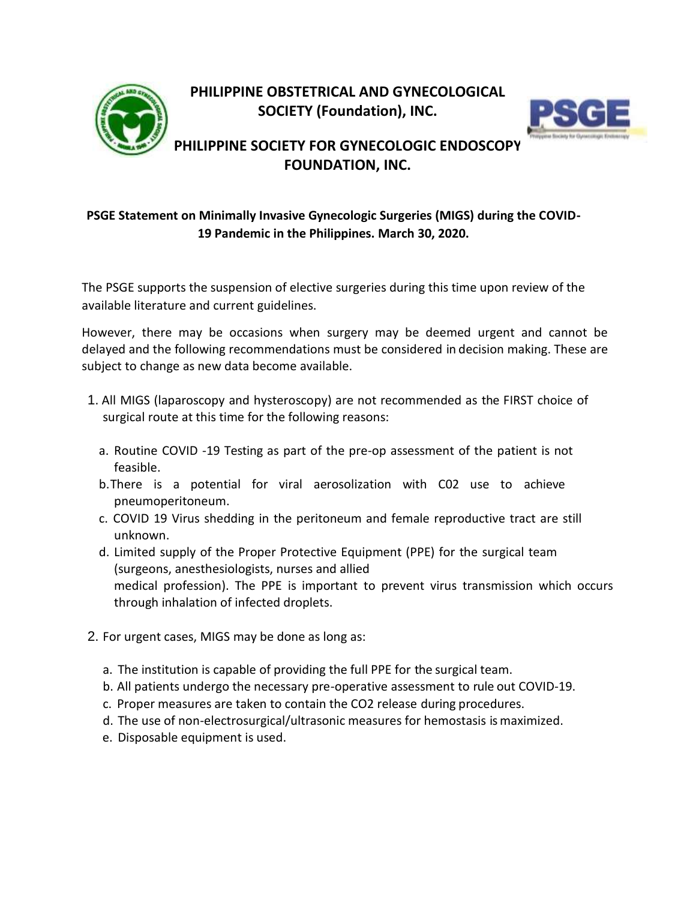



## **PHILIPPINE SOCIETY FOR GYNECOLOGIC ENDOSCOPY FOUNDATION, INC.**

## **PSGE Statement on Minimally Invasive Gynecologic Surgeries (MIGS) during the COVID-19 Pandemic in the Philippines. March 30, 2020.**

The PSGE supports the suspension of elective surgeries during this time upon review of the available literature and current guidelines.

However, there may be occasions when surgery may be deemed urgent and cannot be delayed and the following recommendations must be considered in decision making. These are subject to change as new data become available.

- 1. All MIGS (laparoscopy and hysteroscopy) are not recommended as the FIRST choice of surgical route at this time for the following reasons:
	- a. Routine COVID -19 Testing as part of the pre-op assessment of the patient is not feasible.
	- b.There is a potential for viral aerosolization with C02 use to achieve pneumoperitoneum.
	- c. COVID 19 Virus shedding in the peritoneum and female reproductive tract are still unknown.
	- d. Limited supply of the Proper Protective Equipment (PPE) for the surgical team (surgeons, anesthesiologists, nurses and allied medical profession). The PPE is important to prevent virus transmission which occurs through inhalation of infected droplets.
- 2. For urgent cases, MIGS may be done as long as:
	- a. The institution is capable of providing the full PPE for the surgical team.
	- b. All patients undergo the necessary pre-operative assessment to rule out COVID-19.
	- c. Proper measures are taken to contain the CO2 release during procedures.
	- d. The use of non-electrosurgical/ultrasonic measures for hemostasis is maximized.
	- e. Disposable equipment is used.